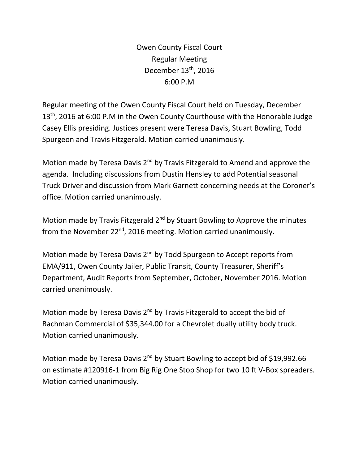Owen County Fiscal Court Regular Meeting December  $13<sup>th</sup>$ , 2016 6:00 P.M

Regular meeting of the Owen County Fiscal Court held on Tuesday, December 13<sup>th</sup>, 2016 at 6:00 P.M in the Owen County Courthouse with the Honorable Judge Casey Ellis presiding. Justices present were Teresa Davis, Stuart Bowling, Todd Spurgeon and Travis Fitzgerald. Motion carried unanimously.

Motion made by Teresa Davis 2<sup>nd</sup> by Travis Fitzgerald to Amend and approve the agenda. Including discussions from Dustin Hensley to add Potential seasonal Truck Driver and discussion from Mark Garnett concerning needs at the Coroner's office. Motion carried unanimously.

Motion made by Travis Fitzgerald 2<sup>nd</sup> by Stuart Bowling to Approve the minutes from the November 22<sup>nd</sup>, 2016 meeting. Motion carried unanimously.

Motion made by Teresa Davis 2<sup>nd</sup> by Todd Spurgeon to Accept reports from EMA/911, Owen County Jailer, Public Transit, County Treasurer, Sheriff's Department, Audit Reports from September, October, November 2016. Motion carried unanimously.

Motion made by Teresa Davis 2<sup>nd</sup> by Travis Fitzgerald to accept the bid of Bachman Commercial of \$35,344.00 for a Chevrolet dually utility body truck. Motion carried unanimously.

Motion made by Teresa Davis 2<sup>nd</sup> by Stuart Bowling to accept bid of \$19,992.66 on estimate #120916-1 from Big Rig One Stop Shop for two 10 ft V-Box spreaders. Motion carried unanimously.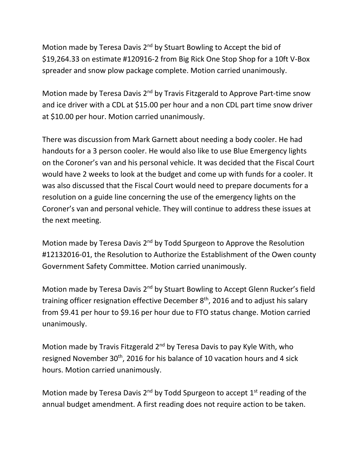Motion made by Teresa Davis 2<sup>nd</sup> by Stuart Bowling to Accept the bid of \$19,264.33 on estimate #120916-2 from Big Rick One Stop Shop for a 10ft V-Box spreader and snow plow package complete. Motion carried unanimously.

Motion made by Teresa Davis 2<sup>nd</sup> by Travis Fitzgerald to Approve Part-time snow and ice driver with a CDL at \$15.00 per hour and a non CDL part time snow driver at \$10.00 per hour. Motion carried unanimously.

There was discussion from Mark Garnett about needing a body cooler. He had handouts for a 3 person cooler. He would also like to use Blue Emergency lights on the Coroner's van and his personal vehicle. It was decided that the Fiscal Court would have 2 weeks to look at the budget and come up with funds for a cooler. It was also discussed that the Fiscal Court would need to prepare documents for a resolution on a guide line concerning the use of the emergency lights on the Coroner's van and personal vehicle. They will continue to address these issues at the next meeting.

Motion made by Teresa Davis  $2<sup>nd</sup>$  by Todd Spurgeon to Approve the Resolution #12132016-01, the Resolution to Authorize the Establishment of the Owen county Government Safety Committee. Motion carried unanimously.

Motion made by Teresa Davis 2<sup>nd</sup> by Stuart Bowling to Accept Glenn Rucker's field training officer resignation effective December  $8<sup>th</sup>$ , 2016 and to adjust his salary from \$9.41 per hour to \$9.16 per hour due to FTO status change. Motion carried unanimously.

Motion made by Travis Fitzgerald  $2^{nd}$  by Teresa Davis to pay Kyle With, who resigned November 30<sup>th</sup>, 2016 for his balance of 10 vacation hours and 4 sick hours. Motion carried unanimously.

Motion made by Teresa Davis  $2^{nd}$  by Todd Spurgeon to accept  $1^{st}$  reading of the annual budget amendment. A first reading does not require action to be taken.